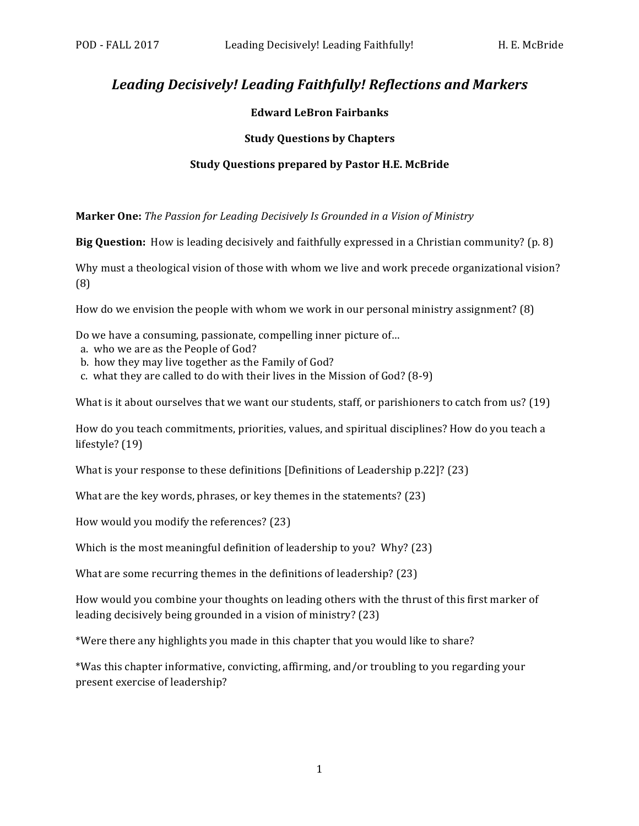# Leading Decisively! Leading Faithfully! Reflections and Markers

## **Edward LeBron Fairbanks**

## **Study Questions by Chapters**

#### **Study Questions prepared by Pastor H.E. McBride**

**Marker One:** *The Passion for Leading Decisively Is Grounded in a Vision of Ministry* 

**Big Question:** How is leading decisively and faithfully expressed in a Christian community? (p. 8)

Why must a theological vision of those with whom we live and work precede organizational vision? (8)

How do we envision the people with whom we work in our personal ministry assignment?  $(8)$ 

Do we have a consuming, passionate, compelling inner picture of...

- a. who we are as the People of God?
- b. how they may live together as the Family of God?
- c. what they are called to do with their lives in the Mission of  $God? (8-9)$

What is it about ourselves that we want our students, staff, or parishioners to catch from us?  $(19)$ 

How do you teach commitments, priorities, values, and spiritual disciplines? How do you teach a lifestyle?  $(19)$ 

What is your response to these definitions [Definitions of Leadership  $p.22$ ]? (23)

What are the key words, phrases, or key themes in the statements?  $(23)$ 

How would you modify the references? (23)

Which is the most meaningful definition of leadership to you? Why?  $(23)$ 

What are some recurring themes in the definitions of leadership?  $(23)$ 

How would you combine your thoughts on leading others with the thrust of this first marker of leading decisively being grounded in a vision of ministry? (23)

\*Were there any highlights you made in this chapter that you would like to share?

\*Was this chapter informative, convicting, affirming, and/or troubling to you regarding your present exercise of leadership?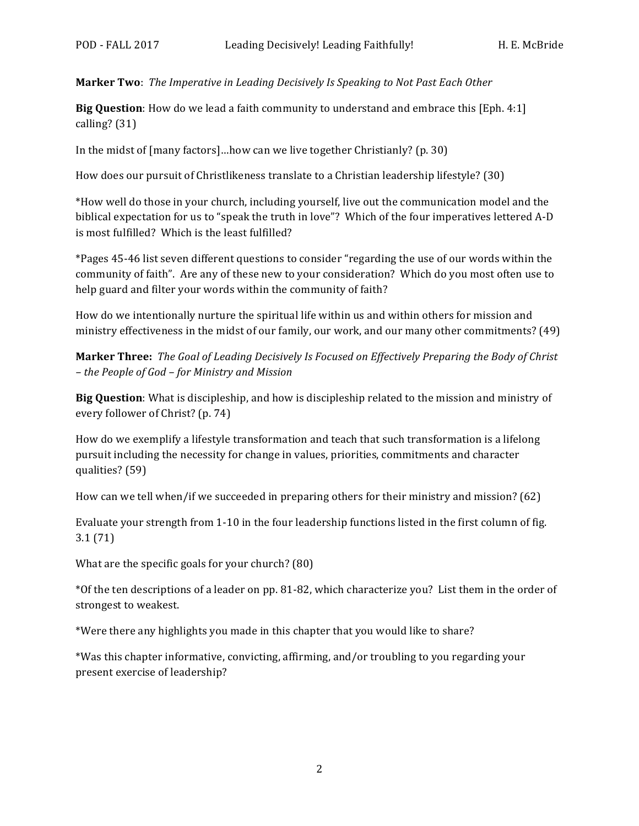**Marker Two**: The Imperative in Leading Decisively Is Speaking to Not Past Each Other

**Big Question**: How do we lead a faith community to understand and embrace this [Eph. 4:1] calling?  $(31)$ 

In the midst of  ${\lceil \text{many factors} \rceil}$ ...how can we live together Christianly? (p. 30)

How does our pursuit of Christlikeness translate to a Christian leadership lifestyle? (30)

\*How well do those in your church, including yourself, live out the communication model and the biblical expectation for us to "speak the truth in love"? Which of the four imperatives lettered A-D is most fulfilled? Which is the least fulfilled?

\*Pages 45-46 list seven different questions to consider "regarding the use of our words within the community of faith". Are any of these new to your consideration? Which do you most often use to help guard and filter your words within the community of faith?

How do we intentionally nurture the spiritual life within us and within others for mission and ministry effectiveness in the midst of our family, our work, and our many other commitments? (49)

**Marker Three:** The Goal of Leading Decisively Is Focused on Effectively Preparing the Body of Christ *– the People of God – for Ministry and Mission*

**Big Question**: What is discipleship, and how is discipleship related to the mission and ministry of every follower of Christ? (p. 74)

How do we exemplify a lifestyle transformation and teach that such transformation is a lifelong pursuit including the necessity for change in values, priorities, commitments and character qualities? (59)

How can we tell when/if we succeeded in preparing others for their ministry and mission?  $(62)$ 

Evaluate your strength from 1-10 in the four leadership functions listed in the first column of fig. 3.1 (71)

What are the specific goals for your church?  $(80)$ 

\*Of the ten descriptions of a leader on pp. 81-82, which characterize you? List them in the order of strongest to weakest.

\*Were there any highlights you made in this chapter that you would like to share?

\*Was this chapter informative, convicting, affirming, and/or troubling to you regarding your present exercise of leadership?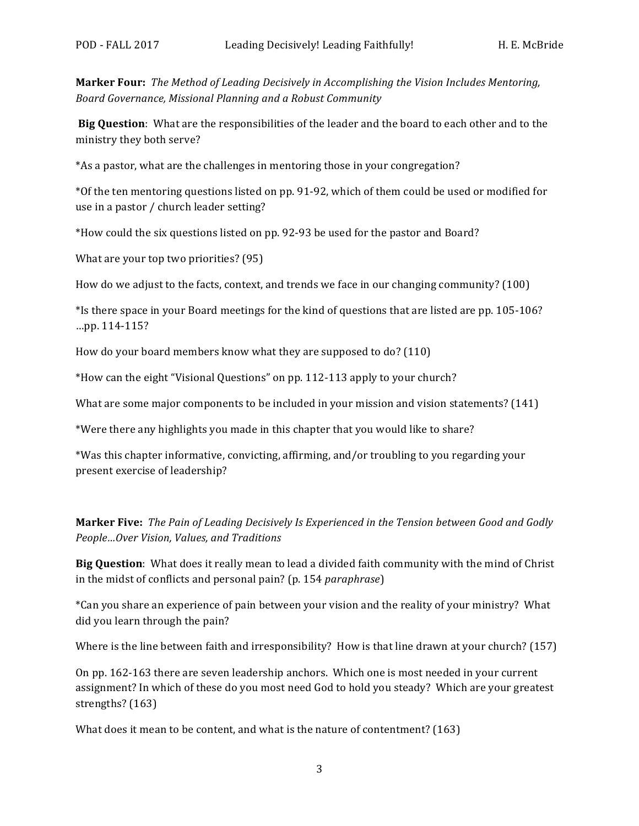**Marker Four:** The Method of Leading Decisively in Accomplishing the Vision Includes Mentoring, *Board Governance, Missional Planning and a Robust Community*

**Big Question**: What are the responsibilities of the leader and the board to each other and to the ministry they both serve?

\*As a pastor, what are the challenges in mentoring those in your congregation?

\*Of the ten mentoring questions listed on pp. 91-92, which of them could be used or modified for use in a pastor / church leader setting?

\*How could the six questions listed on pp. 92-93 be used for the pastor and Board?

What are your top two priorities?  $(95)$ 

How do we adjust to the facts, context, and trends we face in our changing community? (100)

\*Is there space in your Board meetings for the kind of questions that are listed are pp. 105-106? …pp. 114-115?

How do your board members know what they are supposed to do?  $(110)$ 

\*How can the eight "Visional Questions" on pp. 112-113 apply to your church?

What are some major components to be included in your mission and vision statements?  $(141)$ 

\*Were there any highlights you made in this chapter that you would like to share?

\*Was this chapter informative, convicting, affirming, and/or troubling to you regarding your present exercise of leadership?

**Marker Five:** The Pain of Leading Decisively Is Experienced in the Tension between Good and Godly *People…Over Vision, Values, and Traditions*

**Big Question**: What does it really mean to lead a divided faith community with the mind of Christ in the midst of conflicts and personal pain? (p. 154 *paraphrase*)

\*Can you share an experience of pain between your vision and the reality of your ministry? What did you learn through the pain?

Where is the line between faith and irresponsibility? How is that line drawn at your church?  $(157)$ 

On pp. 162-163 there are seven leadership anchors. Which one is most needed in your current assignment? In which of these do you most need God to hold you steady? Which are your greatest strengths? (163)

What does it mean to be content, and what is the nature of contentment?  $(163)$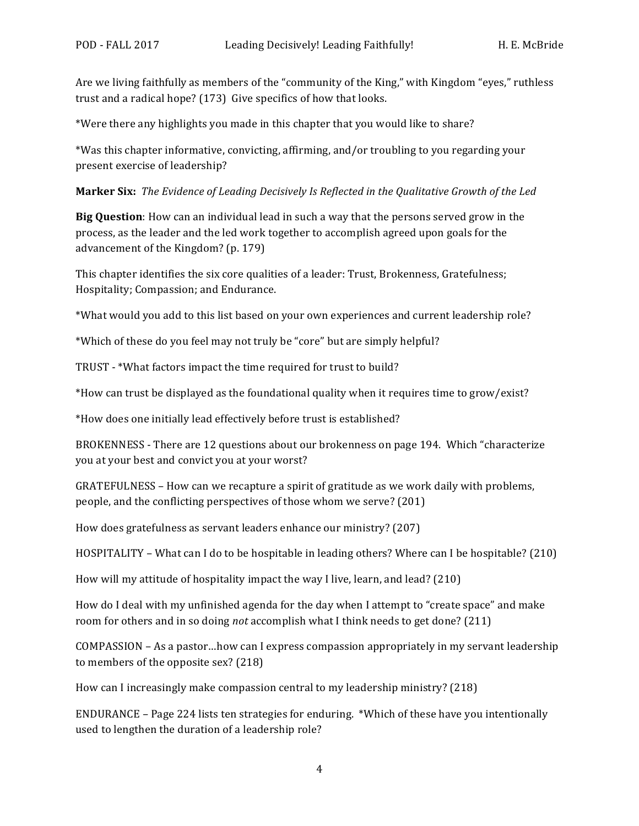Are we living faithfully as members of the "community of the King," with Kingdom "eyes," ruthless trust and a radical hope?  $(173)$  Give specifics of how that looks.

\*Were there any highlights you made in this chapter that you would like to share?

\*Was this chapter informative, convicting, affirming, and/or troubling to you regarding your present exercise of leadership?

**Marker Six:** The Evidence of Leading Decisively Is Reflected in the Qualitative Growth of the Led

**Big Question**: How can an individual lead in such a way that the persons served grow in the process, as the leader and the led work together to accomplish agreed upon goals for the advancement of the Kingdom?  $(p. 179)$ 

This chapter identifies the six core qualities of a leader: Trust, Brokenness, Gratefulness; Hospitality; Compassion; and Endurance.

\*What would you add to this list based on your own experiences and current leadership role?

\*Which of these do you feel may not truly be "core" but are simply helpful?

TRUST - \*What factors impact the time required for trust to build?

\*How can trust be displayed as the foundational quality when it requires time to grow/exist?

\*How does one initially lead effectively before trust is established?

BROKENNESS - There are 12 questions about our brokenness on page 194. Which "characterize you at your best and convict you at your worst?

GRATEFULNESS – How can we recapture a spirit of gratitude as we work daily with problems, people, and the conflicting perspectives of those whom we serve? (201)

How does gratefulness as servant leaders enhance our ministry? (207)

HOSPITALITY – What can I do to be hospitable in leading others? Where can I be hospitable?  $(210)$ 

How will my attitude of hospitality impact the way I live, learn, and lead? (210)

How do I deal with my unfinished agenda for the day when I attempt to "create space" and make room for others and in so doing *not* accomplish what I think needs to get done? (211)

 $COMPASSION - As a pastor...how can I express composition approximately in my serumt leading$ to members of the opposite  $sex$ ? (218)

How can I increasingly make compassion central to my leadership ministry? (218)

ENDURANCE – Page 224 lists ten strategies for enduring. \*Which of these have you intentionally used to lengthen the duration of a leadership role?